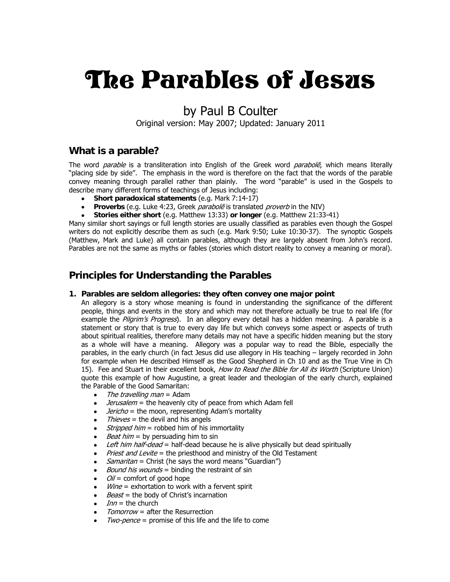# The Parables of Jesus

# by Paul B Coulter

Original version: May 2007; Updated: January 2011

### **What is a parable?**

The word *parable* is a transliteration into English of the Greek word *parabolē*, which means literally "placing side by side". The emphasis in the word is therefore on the fact that the words of the parable convey meaning through parallel rather than plainly. The word "parable" is used in the Gospels to describe many different forms of teachings of Jesus including:

- **Short paradoxical statements** (e.g. Mark 7:14-17)
- **Proverbs** (e.g. Luke 4:23, Greek *parabolē* is translated *proverb* in the NIV)
- **Stories either short** (e.g. Matthew 13:33) **or longer** (e.g. Matthew 21:33-41)

Many similar short sayings or full length stories are usually classified as parables even though the Gospel writers do not explicitly describe them as such (e.g. Mark 9:50; Luke 10:30-37). The synoptic Gospels (Matthew, Mark and Luke) all contain parables, although they are largely absent from John's record. Parables are not the same as myths or fables (stories which distort reality to convey a meaning or moral).

### **Principles for Understanding the Parables**

### **1. Parables are seldom allegories: they often convey one major point**

An allegory is a story whose meaning is found in understanding the significance of the different people, things and events in the story and which may not therefore actually be true to real life (for example the Pilgrim's Progress). In an allegory every detail has a hidden meaning. A parable is a statement or story that is true to every day life but which conveys some aspect or aspects of truth about spiritual realities, therefore many details may not have a specific hidden meaning but the story as a whole will have a meaning. Allegory was a popular way to read the Bible, especially the parables, in the early church (in fact Jesus did use allegory in His teaching – largely recorded in John for example when He described Himself as the Good Shepherd in Ch 10 and as the True Vine in Ch 15). Fee and Stuart in their excellent book, How to Read the Bible for All its Worth (Scripture Union) quote this example of how Augustine, a great leader and theologian of the early church, explained the Parable of the Good Samaritan:

- The travelling man  $=$  Adam
- *Jerusalem* = the heavenly city of peace from which Adam fell
- $\bullet$  *Jericho* = the moon, representing Adam's mortality
- Thieves = the devil and his angels
- *Stripped him* = robbed him of his immortality
- *Beat him* = by persuading him to sin
- Left him half-dead = half-dead because he is alive physically but dead spiritually
- Priest and Levite = the priesthood and ministry of the Old Testament
- *Samaritan* = Christ (he says the word means "Guardian")
- *Bound his wounds* = binding the restraint of sin
- $Oil =$  comfort of good hope
- *Wine* = exhortation to work with a fervent spirit
- Beast = the body of Christ's incarnation
- $Inn =$  the church
- Tomorrow = after the Resurrection
- $Two\text{-}pence =$  promise of this life and the life to come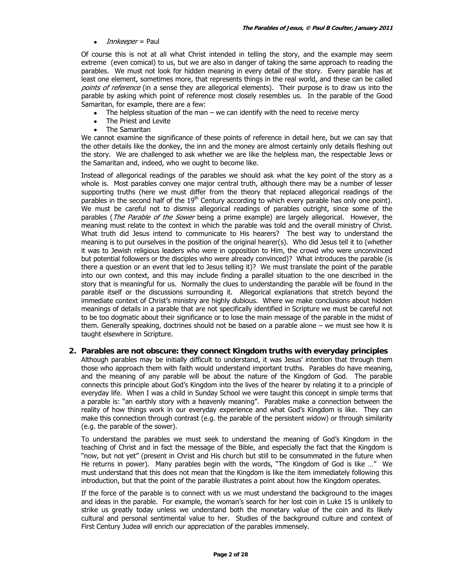#### $\bullet$  *Innkeeper* = Paul

Of course this is not at all what Christ intended in telling the story, and the example may seem extreme (even comical) to us, but we are also in danger of taking the same approach to reading the parables. We must not look for hidden meaning in every detail of the story. Every parable has at least one element, sometimes more, that represents things in the real world, and these can be called points of reference (in a sense they are allegorical elements). Their purpose is to draw us into the parable by asking which point of reference most closely resembles us. In the parable of the Good Samaritan, for example, there are a few:

- The helpless situation of the man we can identify with the need to receive mercy
- The Priest and Levite
- The Samaritan

We cannot examine the significance of these points of reference in detail here, but we can say that the other details like the donkey, the inn and the money are almost certainly only details fleshing out the story. We are challenged to ask whether we are like the helpless man, the respectable Jews or the Samaritan and, indeed, who we ought to become like.

Instead of allegorical readings of the parables we should ask what the key point of the story as a whole is. Most parables convey one major central truth, although there may be a number of lesser supporting truths (here we must differ from the theory that replaced allegorical readings of the parables in the second half of the  $19<sup>th</sup>$  Century according to which every parable has only one point). We must be careful not to dismiss allegorical readings of parables outright, since some of the parables (*The Parable of the Sower* being a prime example) are largely allegorical. However, the meaning must relate to the context in which the parable was told and the overall ministry of Christ. What truth did Jesus intend to communicate to His hearers? The best way to understand the meaning is to put ourselves in the position of the original hearer(s). Who did Jesus tell it to (whether it was to Jewish religious leaders who were in opposition to Him, the crowd who were unconvinced but potential followers or the disciples who were already convinced)? What introduces the parable (is there a question or an event that led to Jesus telling it)? We must translate the point of the parable into our own context, and this may include finding a parallel situation to the one described in the story that is meaningful for us. Normally the clues to understanding the parable will be found in the parable itself or the discussions surrounding it. Allegorical explanations that stretch beyond the immediate context of Christ's ministry are highly dubious. Where we make conclusions about hidden meanings of details in a parable that are not specifically identified in Scripture we must be careful not to be too dogmatic about their significance or to lose the main message of the parable in the midst of them. Generally speaking, doctrines should not be based on a parable alone – we must see how it is taught elsewhere in Scripture.

### **2. Parables are not obscure: they connect Kingdom truths with everyday principles**

Although parables may be initially difficult to understand, it was Jesus' intention that through them those who approach them with faith would understand important truths. Parables do have meaning, and the meaning of any parable will be about the nature of the Kingdom of God. The parable connects this principle about God's Kingdom into the lives of the hearer by relating it to a principle of everyday life. When I was a child in Sunday School we were taught this concept in simple terms that a parable is: "an earthly story with a heavenly meaning". Parables make a connection between the reality of how things work in our everyday experience and what God's Kingdom is like. They can make this connection through contrast (e.g. the parable of the persistent widow) or through similarity (e.g. the parable of the sower).

To understand the parables we must seek to understand the meaning of God's Kingdom in the teaching of Christ and in fact the message of the Bible, and especially the fact that the Kingdom is "now, but not yet" (present in Christ and His church but still to be consummated in the future when He returns in power). Many parables begin with the words, "The Kingdom of God is like …" We must understand that this does not mean that the Kingdom is like the item immediately following this introduction, but that the point of the parable illustrates a point about how the Kingdom operates.

If the force of the parable is to connect with us we must understand the background to the images and ideas in the parable. For example, the woman's search for her lost coin in Luke 15 is unlikely to strike us greatly today unless we understand both the monetary value of the coin and its likely cultural and personal sentimental value to her. Studies of the background culture and context of First Century Judea will enrich our appreciation of the parables immensely.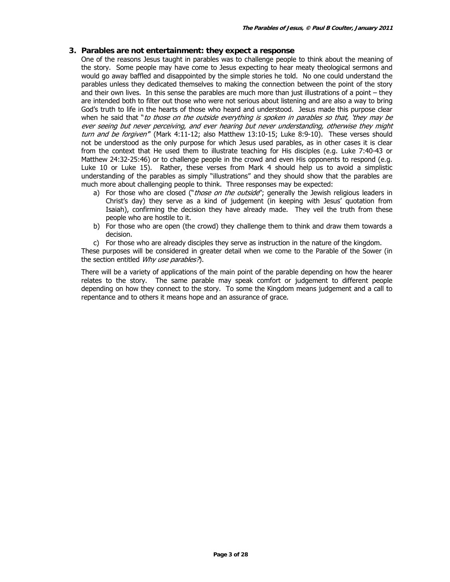### **3. Parables are not entertainment: they expect a response**

One of the reasons Jesus taught in parables was to challenge people to think about the meaning of the story. Some people may have come to Jesus expecting to hear meaty theological sermons and would go away baffled and disappointed by the simple stories he told. No one could understand the parables unless they dedicated themselves to making the connection between the point of the story and their own lives. In this sense the parables are much more than just illustrations of a point – they are intended both to filter out those who were not serious about listening and are also a way to bring God's truth to life in the hearts of those who heard and understood. Jesus made this purpose clear when he said that "to those on the outside everything is spoken in parables so that, 'they may be ever seeing but never perceiving, and ever hearing but never understanding, otherwise they might turn and be forgiven" (Mark 4:11-12; also Matthew 13:10-15; Luke 8:9-10). These verses should not be understood as the only purpose for which Jesus used parables, as in other cases it is clear from the context that He used them to illustrate teaching for His disciples (e.g. Luke 7:40-43 or Matthew 24:32-25:46) or to challenge people in the crowd and even His opponents to respond (e.g. Luke 10 or Luke 15). Rather, these verses from Mark 4 should help us to avoid a simplistic understanding of the parables as simply "illustrations" and they should show that the parables are much more about challenging people to think. Three responses may be expected:

- a) For those who are closed ("those on the outside"; generally the Jewish religious leaders in Christ's day) they serve as a kind of judgement (in keeping with Jesus' quotation from Isaiah), confirming the decision they have already made. They veil the truth from these people who are hostile to it.
- b) For those who are open (the crowd) they challenge them to think and draw them towards a decision.
- c) For those who are already disciples they serve as instruction in the nature of the kingdom.

These purposes will be considered in greater detail when we come to the Parable of the Sower (in the section entitled Why use parables?).

There will be a variety of applications of the main point of the parable depending on how the hearer relates to the story. The same parable may speak comfort or judgement to different people depending on how they connect to the story. To some the Kingdom means judgement and a call to repentance and to others it means hope and an assurance of grace.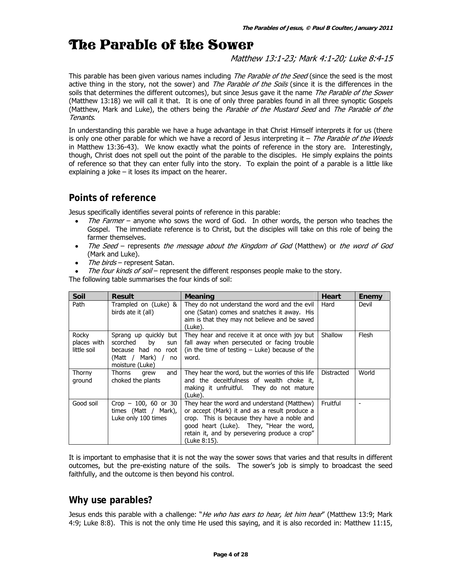# The Parable of the Sower

Matthew 13:1-23; Mark 4:1-20; Luke 8:4-15

This parable has been given various names including *The Parable of the Seed* (since the seed is the most active thing in the story, not the sower) and The Parable of the Soils (since it is the differences in the soils that determines the different outcomes), but since Jesus gave it the name The Parable of the Sower (Matthew 13:18) we will call it that. It is one of only three parables found in all three synoptic Gospels (Matthew, Mark and Luke), the others being the Parable of the Mustard Seed and The Parable of the Tenants.

In understanding this parable we have a huge advantage in that Christ Himself interprets it for us (there is only one other parable for which we have a record of Jesus interpreting it  $-$  The Parable of the Weeds in Matthew 13:36-43). We know exactly what the points of reference in the story are. Interestingly, though, Christ does not spell out the point of the parable to the disciples. He simply explains the points of reference so that they can enter fully into the story. To explain the point of a parable is a little like explaining a joke – it loses its impact on the hearer.

# **Points of reference**

Jesus specifically identifies several points of reference in this parable:

- The Farmer anyone who sows the word of God. In other words, the person who teaches the Gospel. The immediate reference is to Christ, but the disciples will take on this role of being the farmer themselves.
- The Seed represents the message about the Kingdom of God (Matthew) or the word of God (Mark and Luke).
- The birds represent Satan.
- The four kinds of soil represent the different responses people make to the story.

The following table summarises the four kinds of soil:

| Soil                                | <b>Result</b>                                                                                                           | <b>Meaning</b>                                                                                                                                                                                                                                           | <b>Heart</b> | Enemy        |
|-------------------------------------|-------------------------------------------------------------------------------------------------------------------------|----------------------------------------------------------------------------------------------------------------------------------------------------------------------------------------------------------------------------------------------------------|--------------|--------------|
| Path                                | Trampled on (Luke) &<br>birds ate it (all)                                                                              | They do not understand the word and the evil<br>one (Satan) comes and snatches it away. His<br>aim is that they may not believe and be saved<br>(Luke).                                                                                                  | Hard         | Devil        |
| Rocky<br>places with<br>little soil | Sprang up quickly but<br>scorched<br>by<br>sun<br>because had no<br>root<br>Mark) /<br>(Matt /<br>no<br>moisture (Luke) | They hear and receive it at once with joy but<br>fall away when persecuted or facing trouble<br>(in the time of testing $-$ Luke) because of the<br>word.                                                                                                | Shallow      | <b>Flesh</b> |
| Thorny<br>ground                    | Thorns<br>and<br>grew<br>choked the plants                                                                              | They hear the word, but the worries of this life<br>and the deceitfulness of wealth choke it,<br>making it unfruitful. They do not mature<br>(Luke).                                                                                                     | Distracted   | World        |
| Good soil                           | Crop $-100$ , 60 or 30<br>times (Matt / Mark),<br>Luke only 100 times                                                   | They hear the word and understand (Matthew)<br>or accept (Mark) it and as a result produce a<br>crop. This is because they have a noble and<br>good heart (Luke). They, "Hear the word,<br>retain it, and by persevering produce a crop"<br>(Luke 8:15). | Fruitful     |              |

It is important to emphasise that it is not the way the sower sows that varies and that results in different outcomes, but the pre-existing nature of the soils. The sower's job is simply to broadcast the seed faithfully, and the outcome is then beyond his control.

### **Why use parables?**

Jesus ends this parable with a challenge: "*He who has ears to hear, let him hear*" (Matthew 13:9; Mark 4:9; Luke 8:8). This is not the only time He used this saying, and it is also recorded in: Matthew 11:15,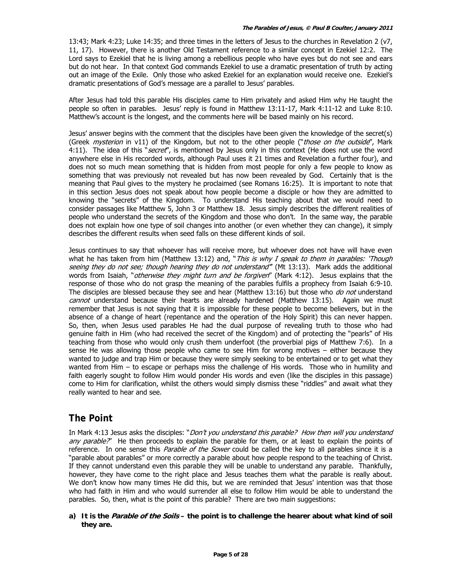13:43; Mark 4:23; Luke 14:35; and three times in the letters of Jesus to the churches in Revelation 2 (v7, 11, 17). However, there is another Old Testament reference to a similar concept in Ezekiel 12:2. The Lord says to Ezekiel that he is living among a rebellious people who have eyes but do not see and ears but do not hear. In that context God commands Ezekiel to use a dramatic presentation of truth by acting out an image of the Exile. Only those who asked Ezekiel for an explanation would receive one. Ezekiel's dramatic presentations of God's message are a parallel to Jesus' parables.

After Jesus had told this parable His disciples came to Him privately and asked Him why He taught the people so often in parables. Jesus' reply is found in Matthew 13:11-17, Mark 4:11-12 and Luke 8:10. Matthew's account is the longest, and the comments here will be based mainly on his record.

Jesus' answer begins with the comment that the disciples have been given the knowledge of the secret(s) (Greek *mysterion* in v11) of the Kingdom, but not to the other people ("those on the outside", Mark 4:11). The idea of this "secret", is mentioned by Jesus only in this context (He does not use the word anywhere else in His recorded words, although Paul uses it 21 times and Revelation a further four), and does not so much mean something that is hidden from most people for only a few people to know as something that was previously not revealed but has now been revealed by God. Certainly that is the meaning that Paul gives to the mystery he proclaimed (see Romans 16:25). It is important to note that in this section Jesus does not speak about how people become a disciple or how they are admitted to knowing the "secrets" of the Kingdom. To understand His teaching about that we would need to consider passages like Matthew 5, John 3 or Matthew 18. Jesus simply describes the different realities of people who understand the secrets of the Kingdom and those who don't. In the same way, the parable does not explain how one type of soil changes into another (or even whether they can change), it simply describes the different results when seed falls on these different kinds of soil.

Jesus continues to say that whoever has will receive more, but whoever does not have will have even what he has taken from him (Matthew 13:12) and, "This is why I speak to them in parables: 'Though seeing they do not see; though hearing they do not understand" (Mt 13:13). Mark adds the additional words from Isaiah, "otherwise they might turn and be forgiven" (Mark 4:12). Jesus explains that the response of those who do not grasp the meaning of the parables fulfils a prophecy from Isaiah 6:9-10. The disciples are blessed because they see and hear (Matthew 13:16) but those who do not understand cannot understand because their hearts are already hardened (Matthew 13:15). Again we must remember that Jesus is not saying that it is impossible for these people to become believers, but in the absence of a change of heart (repentance and the operation of the Holy Spirit) this can never happen. So, then, when Jesus used parables He had the dual purpose of revealing truth to those who had genuine faith in Him (who had received the secret of the Kingdom) and of protecting the "pearls" of His teaching from those who would only crush them underfoot (the proverbial pigs of Matthew 7:6). In a sense He was allowing those people who came to see Him for wrong motives – either because they wanted to judge and trap Him or because they were simply seeking to be entertained or to get what they wanted from Him – to escape or perhaps miss the challenge of His words. Those who in humility and faith eagerly sought to follow Him would ponder His words and even (like the disciples in this passage) come to Him for clarification, whilst the others would simply dismiss these "riddles" and await what they really wanted to hear and see.

### **The Point**

In Mark 4:13 Jesus asks the disciples: "*Don't you understand this parable? How then will you understand* any parable?" He then proceeds to explain the parable for them, or at least to explain the points of reference. In one sense this Parable of the Sower could be called the key to all parables since it is a "parable about parables" or more correctly a parable about how people respond to the teaching of Christ. If they cannot understand even this parable they will be unable to understand any parable. Thankfully, however, they have come to the right place and Jesus teaches them what the parable is really about. We don't know how many times He did this, but we are reminded that Jesus' intention was that those who had faith in Him and who would surrender all else to follow Him would be able to understand the parables. So, then, what is the point of this parable? There are two main suggestions:

**a) It is the Parable of the Soils – the point is to challenge the hearer about what kind of soil they are.**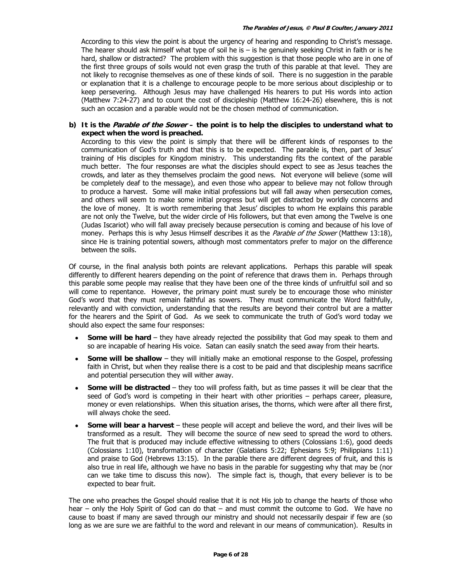According to this view the point is about the urgency of hearing and responding to Christ's message. The hearer should ask himself what type of soil he is – is he genuinely seeking Christ in faith or is he hard, shallow or distracted? The problem with this suggestion is that those people who are in one of the first three groups of soils would not even grasp the truth of this parable at that level. They are not likely to recognise themselves as one of these kinds of soil. There is no suggestion in the parable or explanation that it is a challenge to encourage people to be more serious about discipleship or to keep persevering. Although Jesus may have challenged His hearers to put His words into action (Matthew 7:24-27) and to count the cost of discipleship (Matthew 16:24-26) elsewhere, this is not such an occasion and a parable would not be the chosen method of communication.

**b) It is the Parable of the Sower – the point is to help the disciples to understand what to expect when the word is preached.**

According to this view the point is simply that there will be different kinds of responses to the communication of God's truth and that this is to be expected. The parable is, then, part of Jesus' training of His disciples for Kingdom ministry. This understanding fits the context of the parable much better. The four responses are what the disciples should expect to see as Jesus teaches the crowds, and later as they themselves proclaim the good news. Not everyone will believe (some will be completely deaf to the message), and even those who appear to believe may not follow through to produce a harvest. Some will make initial professions but will fall away when persecution comes, and others will seem to make some initial progress but will get distracted by worldly concerns and the love of money. It is worth remembering that Jesus' disciples to whom He explains this parable are not only the Twelve, but the wider circle of His followers, but that even among the Twelve is one (Judas Iscariot) who will fall away precisely because persecution is coming and because of his love of money. Perhaps this is why Jesus Himself describes it as the Parable of the Sower (Matthew 13:18), since He is training potential sowers, although most commentators prefer to major on the difference between the soils.

Of course, in the final analysis both points are relevant applications. Perhaps this parable will speak differently to different hearers depending on the point of reference that draws them in. Perhaps through this parable some people may realise that they have been one of the three kinds of unfruitful soil and so will come to repentance. However, the primary point must surely be to encourage those who minister God's word that they must remain faithful as sowers. They must communicate the Word faithfully, relevantly and with conviction, understanding that the results are beyond their control but are a matter for the hearers and the Spirit of God. As we seek to communicate the truth of God's word today we should also expect the same four responses:

- **Some will be hard** they have already rejected the possibility that God may speak to them and so are incapable of hearing His voice. Satan can easily snatch the seed away from their hearts.
- **Some will be shallow** they will initially make an emotional response to the Gospel, professing faith in Christ, but when they realise there is a cost to be paid and that discipleship means sacrifice and potential persecution they will wither away.
- **Some will be distracted** they too will profess faith, but as time passes it will be clear that the seed of God's word is competing in their heart with other priorities – perhaps career, pleasure, money or even relationships. When this situation arises, the thorns, which were after all there first, will always choke the seed.
- **Some will bear a harvest** these people will accept and believe the word, and their lives will be transformed as a result. They will become the source of new seed to spread the word to others. The fruit that is produced may include effective witnessing to others (Colossians 1:6), good deeds (Colossians 1:10), transformation of character (Galatians 5:22; Ephesians 5:9; Philippians 1:11) and praise to God (Hebrews 13:15). In the parable there are different degrees of fruit, and this is also true in real life, although we have no basis in the parable for suggesting why that may be (nor can we take time to discuss this now). The simple fact is, though, that every believer is to be expected to bear fruit.

The one who preaches the Gospel should realise that it is not His job to change the hearts of those who hear – only the Holy Spirit of God can do that – and must commit the outcome to God. We have no cause to boast if many are saved through our ministry and should not necessarily despair if few are (so long as we are sure we are faithful to the word and relevant in our means of communication). Results in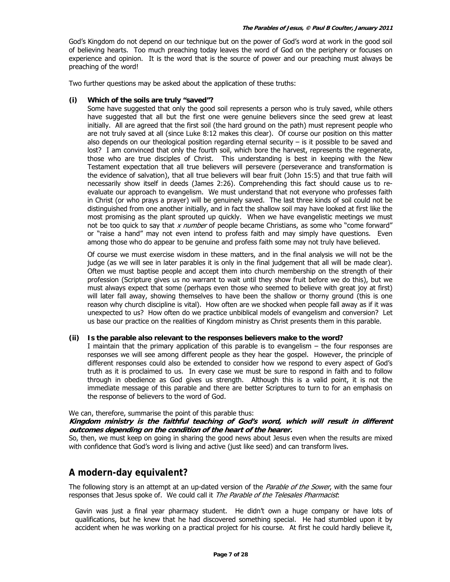God's Kingdom do not depend on our technique but on the power of God's word at work in the good soil of believing hearts. Too much preaching today leaves the word of God on the periphery or focuses on experience and opinion. It is the word that is the source of power and our preaching must always be preaching of the word!

Two further questions may be asked about the application of these truths:

#### **(i) Which of the soils are truly "saved"?**

Some have suggested that only the good soil represents a person who is truly saved, while others have suggested that all but the first one were genuine believers since the seed grew at least initially. All are agreed that the first soil (the hard ground on the path) must represent people who are not truly saved at all (since Luke 8:12 makes this clear). Of course our position on this matter also depends on our theological position regarding eternal security  $-$  is it possible to be saved and lost? I am convinced that only the fourth soil, which bore the harvest, represents the regenerate, those who are true disciples of Christ. This understanding is best in keeping with the New Testament expectation that all true believers will persevere (perseverance and transformation is the evidence of salvation), that all true believers will bear fruit (John 15:5) and that true faith will necessarily show itself in deeds (James 2:26). Comprehending this fact should cause us to reevaluate our approach to evangelism. We must understand that not everyone who professes faith in Christ (or who prays a prayer) will be genuinely saved. The last three kinds of soil could not be distinguished from one another initially, and in fact the shallow soil may have looked at first like the most promising as the plant sprouted up quickly. When we have evangelistic meetings we must not be too quick to say that  $x$  number of people became Christians, as some who "come forward" or "raise a hand" may not even intend to profess faith and may simply have questions. Even among those who do appear to be genuine and profess faith some may not truly have believed.

Of course we must exercise wisdom in these matters, and in the final analysis we will not be the judge (as we will see in later parables it is only in the final judgement that all will be made clear). Often we must baptise people and accept them into church membership on the strength of their profession (Scripture gives us no warrant to wait until they show fruit before we do this), but we must always expect that some (perhaps even those who seemed to believe with great joy at first) will later fall away, showing themselves to have been the shallow or thorny ground (this is one reason why church discipline is vital). How often are we shocked when people fall away as if it was unexpected to us? How often do we practice unbiblical models of evangelism and conversion? Let us base our practice on the realities of Kingdom ministry as Christ presents them in this parable.

#### **(ii) Is the parable also relevant to the responses believers make to the word?**

I maintain that the primary application of this parable is to evangelism – the four responses are responses we will see among different people as they hear the gospel. However, the principle of different responses could also be extended to consider how we respond to every aspect of God's truth as it is proclaimed to us. In every case we must be sure to respond in faith and to follow through in obedience as God gives us strength. Although this is a valid point, it is not the immediate message of this parable and there are better Scriptures to turn to for an emphasis on the response of believers to the word of God.

### We can, therefore, summarise the point of this parable thus:

#### **Kingdom ministry is the faithful teaching of God's word, which will result in different outcomes depending on the condition of the heart of the hearer.**

So, then, we must keep on going in sharing the good news about Jesus even when the results are mixed with confidence that God's word is living and active (just like seed) and can transform lives.

### **A modern-day equivalent?**

The following story is an attempt at an up-dated version of the *Parable of the Sower*, with the same four responses that Jesus spoke of. We could call it The Parable of the Telesales Pharmacist:

Gavin was just a final year pharmacy student. He didn't own a huge company or have lots of qualifications, but he knew that he had discovered something special. He had stumbled upon it by accident when he was working on a practical project for his course. At first he could hardly believe it,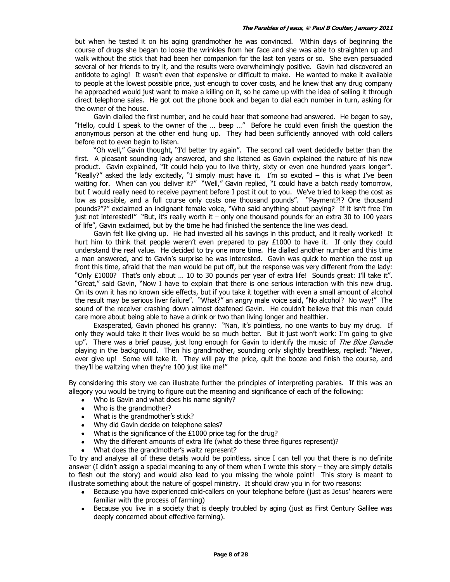but when he tested it on his aging grandmother he was convinced. Within days of beginning the course of drugs she began to loose the wrinkles from her face and she was able to straighten up and walk without the stick that had been her companion for the last ten years or so. She even persuaded several of her friends to try it, and the results were overwhelmingly positive. Gavin had discovered an antidote to aging! It wasn't even that expensive or difficult to make. He wanted to make it available to people at the lowest possible price, just enough to cover costs, and he knew that any drug company he approached would just want to make a killing on it, so he came up with the idea of selling it through direct telephone sales. He got out the phone book and began to dial each number in turn, asking for the owner of the house.

 Gavin dialled the first number, and he could hear that someone had answered. He began to say, "Hello, could I speak to the owner of the … beep …" Before he could even finish the question the anonymous person at the other end hung up. They had been sufficiently annoyed with cold callers before not to even begin to listen.

 "Oh well," Gavin thought, "I'd better try again". The second call went decidedly better than the first. A pleasant sounding lady answered, and she listened as Gavin explained the nature of his new product. Gavin explained, "It could help you to live thirty, sixty or even one hundred years longer". "Really?" asked the lady excitedly, "I simply must have it. I'm so excited – this is what I've been waiting for. When can you deliver it?" "Well," Gavin replied, "I could have a batch ready tomorrow, but I would really need to receive payment before I post it out to you. We've tried to keep the cost as low as possible, and a full course only costs one thousand pounds". "Payment?!? One thousand pounds?"?" exclaimed an indignant female voice, "Who said anything about paying? If it isn't free I'm just not interested!" "But, it's really worth it – only one thousand pounds for an extra 30 to 100 years of life", Gavin exclaimed, but by the time he had finished the sentence the line was dead.

 Gavin felt like giving up. He had invested all his savings in this product, and it really worked! It hurt him to think that people weren't even prepared to pay £1000 to have it. If only they could understand the real value. He decided to try one more time. He dialled another number and this time a man answered, and to Gavin's surprise he was interested. Gavin was quick to mention the cost up front this time, afraid that the man would be put off, but the response was very different from the lady: "Only £1000? That's only about … 10 to 30 pounds per year of extra life! Sounds great: I'll take it". "Great," said Gavin, "Now I have to explain that there is one serious interaction with this new drug. On its own it has no known side effects, but if you take it together with even a small amount of alcohol the result may be serious liver failure". "What?" an angry male voice said, "No alcohol? No way!" The sound of the receiver crashing down almost deafened Gavin. He couldn't believe that this man could care more about being able to have a drink or two than living longer and healthier.

 Exasperated, Gavin phoned his granny: "Nan, it's pointless, no one wants to buy my drug. If only they would take it their lives would be so much better. But it just won't work: I'm going to give up". There was a brief pause, just long enough for Gavin to identify the music of The Blue Danube playing in the background. Then his grandmother, sounding only slightly breathless, replied: "Never, ever give up! Some will take it. They will pay the price, quit the booze and finish the course, and they'll be waltzing when they're 100 just like me!"

By considering this story we can illustrate further the principles of interpreting parables. If this was an allegory you would be trying to figure out the meaning and significance of each of the following:

- Who is Gavin and what does his name signify?
- Who is the grandmother?
- What is the grandmother's stick?
- Why did Gavin decide on telephone sales?
- What is the significance of the £1000 price tag for the drug?
- Why the different amounts of extra life (what do these three figures represent)?
- What does the grandmother's waltz represent?

To try and analyse all of these details would be pointless, since I can tell you that there is no definite answer (I didn't assign a special meaning to any of them when I wrote this story – they are simply details to flesh out the story) and would also lead to you missing the whole point! This story is meant to illustrate something about the nature of gospel ministry. It should draw you in for two reasons:

- Because you have experienced cold-callers on your telephone before (just as Jesus' hearers were familiar with the process of farming)
- Because you live in a society that is deeply troubled by aging (just as First Century Galilee was deeply concerned about effective farming).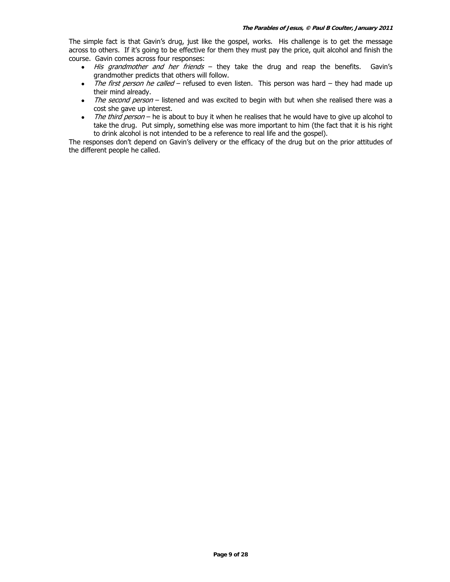The simple fact is that Gavin's drug, just like the gospel, works. His challenge is to get the message across to others. If it's going to be effective for them they must pay the price, quit alcohol and finish the course. Gavin comes across four responses:

- His grandmother and her friends they take the drug and reap the benefits. Gavin's grandmother predicts that others will follow.
- The first person he called refused to even listen. This person was hard they had made up their mind already.
- The second person listened and was excited to begin with but when she realised there was a cost she gave up interest.
- The third person he is about to buy it when he realises that he would have to give up alcohol to take the drug. Put simply, something else was more important to him (the fact that it is his right to drink alcohol is not intended to be a reference to real life and the gospel).

The responses don't depend on Gavin's delivery or the efficacy of the drug but on the prior attitudes of the different people he called.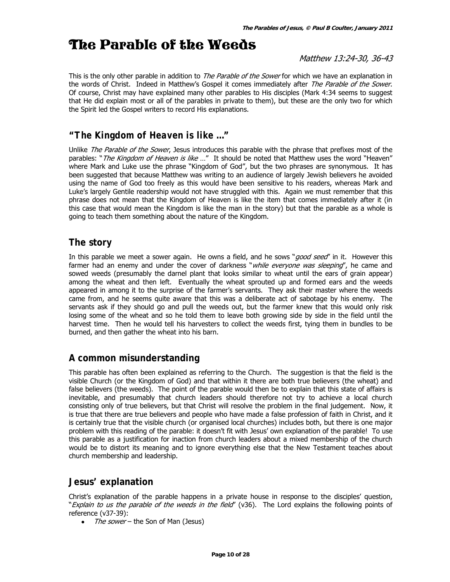# The Parable of the Weeds

Matthew 13:24-30, 36-43

This is the only other parable in addition to *The Parable of the Sower* for which we have an explanation in the words of Christ. Indeed in Matthew's Gospel it comes immediately after The Parable of the Sower. Of course, Christ may have explained many other parables to His disciples (Mark 4:34 seems to suggest that He did explain most or all of the parables in private to them), but these are the only two for which the Spirit led the Gospel writers to record His explanations.

### **"***The Kingdom of Heaven is like* **…"**

Unlike The Parable of the Sower, Jesus introduces this parable with the phrase that prefixes most of the parables: "The Kingdom of Heaven is like ..." It should be noted that Matthew uses the word "Heaven" where Mark and Luke use the phrase "Kingdom of God", but the two phrases are synonymous. It has been suggested that because Matthew was writing to an audience of largely Jewish believers he avoided using the name of God too freely as this would have been sensitive to his readers, whereas Mark and Luke's largely Gentile readership would not have struggled with this. Again we must remember that this phrase does not mean that the Kingdom of Heaven is like the item that comes immediately after it (in this case that would mean the Kingdom is like the man in the story) but that the parable as a whole is going to teach them something about the nature of the Kingdom.

### **The story**

In this parable we meet a sower again. He owns a field, and he sows "good seed" in it. However this farmer had an enemy and under the cover of darkness "*while everyone was sleeping*", he came and sowed weeds (presumably the darnel plant that looks similar to wheat until the ears of grain appear) among the wheat and then left. Eventually the wheat sprouted up and formed ears and the weeds appeared in among it to the surprise of the farmer's servants. They ask their master where the weeds came from, and he seems quite aware that this was a deliberate act of sabotage by his enemy. The servants ask if they should go and pull the weeds out, but the farmer knew that this would only risk losing some of the wheat and so he told them to leave both growing side by side in the field until the harvest time. Then he would tell his harvesters to collect the weeds first, tying them in bundles to be burned, and then gather the wheat into his barn.

### **A common misunderstanding**

This parable has often been explained as referring to the Church. The suggestion is that the field is the visible Church (or the Kingdom of God) and that within it there are both true believers (the wheat) and false believers (the weeds). The point of the parable would then be to explain that this state of affairs is inevitable, and presumably that church leaders should therefore not try to achieve a local church consisting only of true believers, but that Christ will resolve the problem in the final judgement. Now, it is true that there are true believers and people who have made a false profession of faith in Christ, and it is certainly true that the visible church (or organised local churches) includes both, but there is one major problem with this reading of the parable: it doesn't fit with Jesus' own explanation of the parable! To use this parable as a justification for inaction from church leaders about a mixed membership of the church would be to distort its meaning and to ignore everything else that the New Testament teaches about church membership and leadership.

### **Jesus' explanation**

Christ's explanation of the parable happens in a private house in response to the disciples' question, "Explain to us the parable of the weeds in the field" (v36). The Lord explains the following points of reference (v37-39):

• The sower – the Son of Man (Jesus)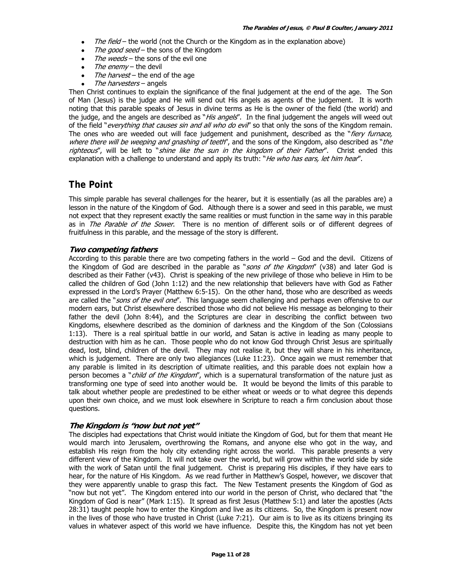- The field the world (not the Church or the Kingdom as in the explanation above)
- The good seed the sons of the Kingdom
- The weeds the sons of the evil one
- The enemy the devil
- The harvest the end of the age
- The harvesters angels

Then Christ continues to explain the significance of the final judgement at the end of the age. The Son of Man (Jesus) is the judge and He will send out His angels as agents of the judgement. It is worth noting that this parable speaks of Jesus in divine terms as He is the owner of the field (the world) and the judge, and the angels are described as "His angels". In the final judgement the angels will weed out of the field "everything that causes sin and all who do evil" so that only the sons of the Kingdom remain. The ones who are weeded out will face judgement and punishment, described as the "*fiery furnace*, where there will be weeping and gnashing of teeth", and the sons of the Kingdom, also described as "the righteous", will be left to "shine like the sun in the kingdom of their Father". Christ ended this explanation with a challenge to understand and apply its truth: "He who has ears, let him hear".

### **The Point**

This simple parable has several challenges for the hearer, but it is essentially (as all the parables are) a lesson in the nature of the Kingdom of God. Although there is a sower and seed in this parable, we must not expect that they represent exactly the same realities or must function in the same way in this parable as in *The Parable of the Sower*. There is no mention of different soils or of different degrees of fruitfulness in this parable, and the message of the story is different.

### **Two competing fathers**

According to this parable there are two competing fathers in the world – God and the devil. Citizens of the Kingdom of God are described in the parable as "sons of the Kingdom" (v38) and later God is described as their Father (v43). Christ is speaking of the new privilege of those who believe in Him to be called the children of God (John 1:12) and the new relationship that believers have with God as Father expressed in the Lord's Prayer (Matthew 6:5-15). On the other hand, those who are described as weeds are called the "sons of the evil one". This language seem challenging and perhaps even offensive to our modern ears, but Christ elsewhere described those who did not believe His message as belonging to their father the devil (John 8:44), and the Scriptures are clear in describing the conflict between two Kingdoms, elsewhere described as the dominion of darkness and the Kingdom of the Son (Colossians 1:13). There is a real spiritual battle in our world, and Satan is active in leading as many people to destruction with him as he can. Those people who do not know God through Christ Jesus are spiritually dead, lost, blind, children of the devil. They may not realise it, but they will share in his inheritance, which is judgement. There are only two allegiances (Luke 11:23). Once again we must remember that any parable is limited in its description of ultimate realities, and this parable does not explain how a person becomes a "*child of the Kingdom*", which is a supernatural transformation of the nature just as transforming one type of seed into another would be. It would be beyond the limits of this parable to talk about whether people are predestined to be either wheat or weeds or to what degree this depends upon their own choice, and we must look elsewhere in Scripture to reach a firm conclusion about those questions.

### **The Kingdom is "now but not yet"**

The disciples had expectations that Christ would initiate the Kingdom of God, but for them that meant He would march into Jerusalem, overthrowing the Romans, and anyone else who got in the way, and establish His reign from the holy city extending right across the world. This parable presents a very different view of the Kingdom. It will not take over the world, but will grow within the world side by side with the work of Satan until the final judgement. Christ is preparing His disciples, if they have ears to hear, for the nature of His Kingdom. As we read further in Matthew's Gospel, however, we discover that they were apparently unable to grasp this fact. The New Testament presents the Kingdom of God as "now but not yet". The Kingdom entered into our world in the person of Christ, who declared that "the Kingdom of God is near" (Mark 1:15). It spread as first Jesus (Matthew 5:1) and later the apostles (Acts 28:31) taught people how to enter the Kingdom and live as its citizens. So, the Kingdom is present now in the lives of those who have trusted in Christ (Luke 7:21). Our aim is to live as its citizens bringing its values in whatever aspect of this world we have influence. Despite this, the Kingdom has not yet been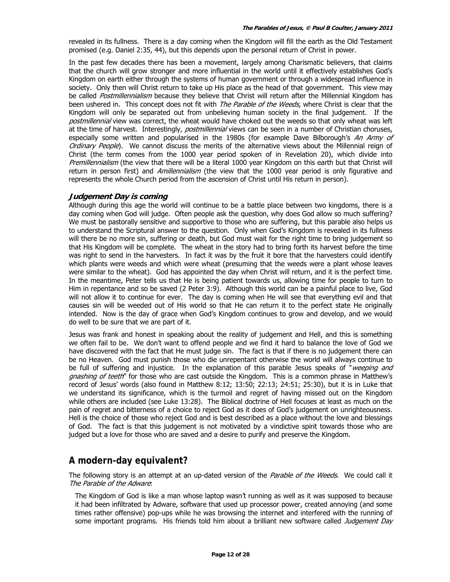revealed in its fullness. There is a day coming when the Kingdom will fill the earth as the Old Testament promised (e.g. Daniel 2:35, 44), but this depends upon the personal return of Christ in power.

In the past few decades there has been a movement, largely among Charismatic believers, that claims that the church will grow stronger and more influential in the world until it effectively establishes God's Kingdom on earth either through the systems of human government or through a widespread influence in society. Only then will Christ return to take up His place as the head of that government. This view may be called Postmillennialism because they believe that Christ will return after the Millennial Kingdom has been ushered in. This concept does not fit with *The Parable of the Weeds*, where Christ is clear that the Kingdom will only be separated out from unbelieving human society in the final judgement. If the postmillennial view was correct, the wheat would have choked out the weeds so that only wheat was left at the time of harvest. Interestingly, postmillennial views can be seen in a number of Christian choruses, especially some written and popularised in the 1980s (for example Dave Bilborough's An Army of Ordinary People). We cannot discuss the merits of the alternative views about the Millennial reign of Christ (the term comes from the 1000 year period spoken of in Revelation 20), which divide into Premillennialism (the view that there will be a literal 1000 year Kingdom on this earth but that Christ will return in person first) and *Amillennialism* (the view that the 1000 year period is only figurative and represents the whole Church period from the ascension of Christ until His return in person).

### **Judgement Day is coming**

Although during this age the world will continue to be a battle place between two kingdoms, there is a day coming when God will judge. Often people ask the question, why does God allow so much suffering? We must be pastorally sensitive and supportive to those who are suffering, but this parable also helps us to understand the Scriptural answer to the question. Only when God's Kingdom is revealed in its fullness will there be no more sin, suffering or death, but God must wait for the right time to bring judgement so that His Kingdom will be complete. The wheat in the story had to bring forth its harvest before the time was right to send in the harvesters. In fact it was by the fruit it bore that the harvesters could identify which plants were weeds and which were wheat (presuming that the weeds were a plant whose leaves were similar to the wheat). God has appointed the day when Christ will return, and it is the perfect time. In the meantime, Peter tells us that He is being patient towards us, allowing time for people to turn to Him in repentance and so be saved (2 Peter 3:9). Although this world can be a painful place to live, God will not allow it to continue for ever. The day is coming when He will see that everything evil and that causes sin will be weeded out of His world so that He can return it to the perfect state He originally intended. Now is the day of grace when God's Kingdom continues to grow and develop, and we would do well to be sure that we are part of it.

Jesus was frank and honest in speaking about the reality of judgement and Hell, and this is something we often fail to be. We don't want to offend people and we find it hard to balance the love of God we have discovered with the fact that He must judge sin. The fact is that if there is no judgement there can be no Heaven. God must punish those who die unrepentant otherwise the world will always continue to be full of suffering and injustice. In the explanation of this parable Jesus speaks of "weeping and gnashing of teeth" for those who are cast outside the Kingdom. This is a common phrase in Matthew's record of Jesus' words (also found in Matthew 8:12; 13:50; 22:13; 24:51; 25:30), but it is in Luke that we understand its significance, which is the turmoil and regret of having missed out on the Kingdom while others are included (see Luke 13:28). The Biblical doctrine of Hell focuses at least as much on the pain of regret and bitterness of a choice to reject God as it does of God's judgement on unrighteousness. Hell is the choice of those who reject God and is best described as a place without the love and blessings of God. The fact is that this judgement is not motivated by a vindictive spirit towards those who are judged but a love for those who are saved and a desire to purify and preserve the Kingdom.

### **A modern-day equivalent?**

The following story is an attempt at an up-dated version of the *Parable of the Weeds*. We could call it The Parable of the Adware:

The Kingdom of God is like a man whose laptop wasn't running as well as it was supposed to because it had been infiltrated by Adware, software that used up processor power, created annoying (and some times rather offensive) pop-ups while he was browsing the internet and interfered with the running of some important programs. His friends told him about a brilliant new software called Judgement Day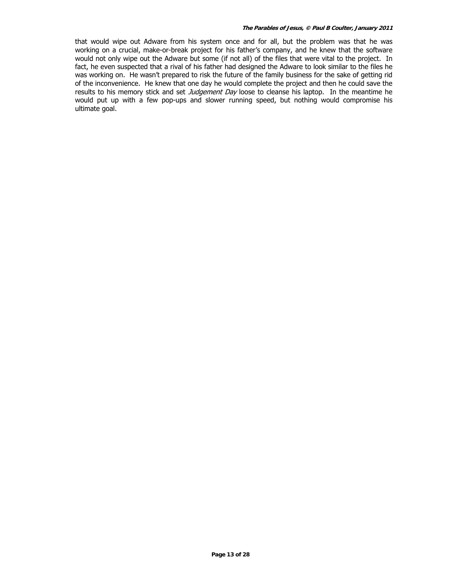#### **The Parables of Jesus, © Paul B Coulter, January 2011**

that would wipe out Adware from his system once and for all, but the problem was that he was working on a crucial, make-or-break project for his father's company, and he knew that the software would not only wipe out the Adware but some (if not all) of the files that were vital to the project. In fact, he even suspected that a rival of his father had designed the Adware to look similar to the files he was working on. He wasn't prepared to risk the future of the family business for the sake of getting rid of the inconvenience. He knew that one day he would complete the project and then he could save the results to his memory stick and set Judgement Day loose to cleanse his laptop. In the meantime he would put up with a few pop-ups and slower running speed, but nothing would compromise his ultimate goal.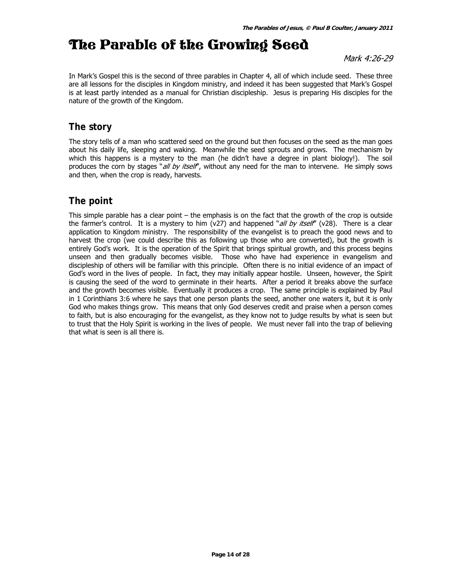# The Parable of the Growing Seed

Mark 4:26-29

In Mark's Gospel this is the second of three parables in Chapter 4, all of which include seed. These three are all lessons for the disciples in Kingdom ministry, and indeed it has been suggested that Mark's Gospel is at least partly intended as a manual for Christian discipleship. Jesus is preparing His disciples for the nature of the growth of the Kingdom.

### **The story**

The story tells of a man who scattered seed on the ground but then focuses on the seed as the man goes about his daily life, sleeping and waking. Meanwhile the seed sprouts and grows. The mechanism by which this happens is a mystery to the man (he didn't have a degree in plant biology!). The soil produces the corn by stages "all by itself", without any need for the man to intervene. He simply sows and then, when the crop is ready, harvests.

### **The point**

This simple parable has a clear point – the emphasis is on the fact that the growth of the crop is outside the farmer's control. It is a mystery to him (v27) and happened "all by itself" (v28). There is a clear application to Kingdom ministry. The responsibility of the evangelist is to preach the good news and to harvest the crop (we could describe this as following up those who are converted), but the growth is entirely God's work. It is the operation of the Spirit that brings spiritual growth, and this process begins unseen and then gradually becomes visible. Those who have had experience in evangelism and discipleship of others will be familiar with this principle. Often there is no initial evidence of an impact of God's word in the lives of people. In fact, they may initially appear hostile. Unseen, however, the Spirit is causing the seed of the word to germinate in their hearts. After a period it breaks above the surface and the growth becomes visible. Eventually it produces a crop. The same principle is explained by Paul in 1 Corinthians 3:6 where he says that one person plants the seed, another one waters it, but it is only God who makes things grow. This means that only God deserves credit and praise when a person comes to faith, but is also encouraging for the evangelist, as they know not to judge results by what is seen but to trust that the Holy Spirit is working in the lives of people. We must never fall into the trap of believing that what is seen is all there is.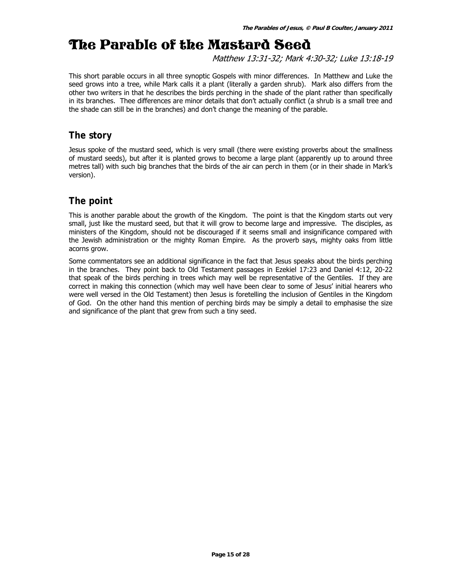# The Parable of the Mustard Seed

Matthew 13:31-32; Mark 4:30-32; Luke 13:18-19

This short parable occurs in all three synoptic Gospels with minor differences. In Matthew and Luke the seed grows into a tree, while Mark calls it a plant (literally a garden shrub). Mark also differs from the other two writers in that he describes the birds perching in the shade of the plant rather than specifically in its branches. Thee differences are minor details that don't actually conflict (a shrub is a small tree and the shade can still be in the branches) and don't change the meaning of the parable.

### **The story**

Jesus spoke of the mustard seed, which is very small (there were existing proverbs about the smallness of mustard seeds), but after it is planted grows to become a large plant (apparently up to around three metres tall) with such big branches that the birds of the air can perch in them (or in their shade in Mark's version).

# **The point**

This is another parable about the growth of the Kingdom. The point is that the Kingdom starts out very small, just like the mustard seed, but that it will grow to become large and impressive. The disciples, as ministers of the Kingdom, should not be discouraged if it seems small and insignificance compared with the Jewish administration or the mighty Roman Empire. As the proverb says, mighty oaks from little acorns grow.

Some commentators see an additional significance in the fact that Jesus speaks about the birds perching in the branches. They point back to Old Testament passages in Ezekiel 17:23 and Daniel 4:12, 20-22 that speak of the birds perching in trees which may well be representative of the Gentiles. If they are correct in making this connection (which may well have been clear to some of Jesus' initial hearers who were well versed in the Old Testament) then Jesus is foretelling the inclusion of Gentiles in the Kingdom of God. On the other hand this mention of perching birds may be simply a detail to emphasise the size and significance of the plant that grew from such a tiny seed.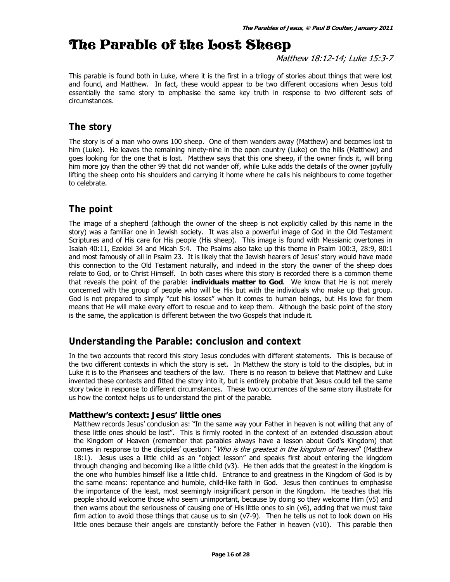# The Parable of the Lost Sheep

Matthew 18:12-14; Luke 15:3-7

This parable is found both in Luke, where it is the first in a trilogy of stories about things that were lost and found, and Matthew. In fact, these would appear to be two different occasions when Jesus told essentially the same story to emphasise the same key truth in response to two different sets of circumstances.

### **The story**

The story is of a man who owns 100 sheep. One of them wanders away (Matthew) and becomes lost to him (Luke). He leaves the remaining ninety-nine in the open country (Luke) on the hills (Matthew) and goes looking for the one that is lost. Matthew says that this one sheep, if the owner finds it, will bring him more joy than the other 99 that did not wander off, while Luke adds the details of the owner joyfully lifting the sheep onto his shoulders and carrying it home where he calls his neighbours to come together to celebrate.

# **The point**

The image of a shepherd (although the owner of the sheep is not explicitly called by this name in the story) was a familiar one in Jewish society. It was also a powerful image of God in the Old Testament Scriptures and of His care for His people (His sheep). This image is found with Messianic overtones in Isaiah 40:11, Ezekiel 34 and Micah 5:4. The Psalms also take up this theme in Psalm 100:3, 28:9, 80:1 and most famously of all in Psalm 23. It is likely that the Jewish hearers of Jesus' story would have made this connection to the Old Testament naturally, and indeed in the story the owner of the sheep does relate to God, or to Christ Himself. In both cases where this story is recorded there is a common theme that reveals the point of the parable: **individuals matter to God**. We know that He is not merely concerned with the group of people who will be His but with the individuals who make up that group. God is not prepared to simply "cut his losses" when it comes to human beings, but His love for them means that He will make every effort to rescue and to keep them. Although the basic point of the story is the same, the application is different between the two Gospels that include it.

### **Understanding the Parable: conclusion and context**

In the two accounts that record this story Jesus concludes with different statements. This is because of the two different contexts in which the story is set. In Matthew the story is told to the disciples, but in Luke it is to the Pharisees and teachers of the law. There is no reason to believe that Matthew and Luke invented these contexts and fitted the story into it, but is entirely probable that Jesus could tell the same story twice in response to different circumstances. These two occurrences of the same story illustrate for us how the context helps us to understand the pint of the parable.

### **Matthew's context: Jesus' little ones**

Matthew records Jesus' conclusion as: "In the same way your Father in heaven is not willing that any of these little ones should be lost". This is firmly rooted in the context of an extended discussion about the Kingdom of Heaven (remember that parables always have a lesson about God's Kingdom) that comes in response to the disciples' question: "*Who is the greatest in the kingdom of heaven*" (Matthew 18:1). Jesus uses a little child as an "object lesson" and speaks first about entering the kingdom through changing and becoming like a little child (v3). He then adds that the greatest in the kingdom is the one who humbles himself like a little child. Entrance to and greatness in the Kingdom of God is by the same means: repentance and humble, child-like faith in God. Jesus then continues to emphasise the importance of the least, most seemingly insignificant person in the Kingdom. He teaches that His people should welcome those who seem unimportant, because by doing so they welcome Him (v5) and then warns about the seriousness of causing one of His little ones to sin (v6), adding that we must take firm action to avoid those things that cause us to sin (v7-9). Then he tells us not to look down on His little ones because their angels are constantly before the Father in heaven (v10). This parable then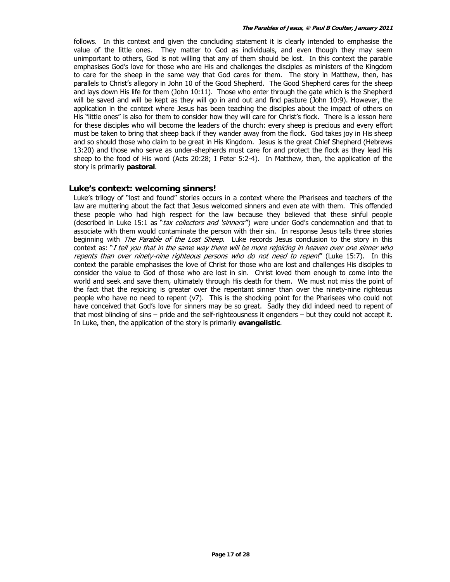follows. In this context and given the concluding statement it is clearly intended to emphasise the value of the little ones. They matter to God as individuals, and even though they may seem unimportant to others, God is not willing that any of them should be lost. In this context the parable emphasises God's love for those who are His and challenges the disciples as ministers of the Kingdom to care for the sheep in the same way that God cares for them. The story in Matthew, then, has parallels to Christ's allegory in John 10 of the Good Shepherd. The Good Shepherd cares for the sheep and lays down His life for them (John 10:11). Those who enter through the gate which is the Shepherd will be saved and will be kept as they will go in and out and find pasture (John 10:9). However, the application in the context where Jesus has been teaching the disciples about the impact of others on His "little ones" is also for them to consider how they will care for Christ's flock. There is a lesson here for these disciples who will become the leaders of the church: every sheep is precious and every effort must be taken to bring that sheep back if they wander away from the flock. God takes joy in His sheep and so should those who claim to be great in His Kingdom. Jesus is the great Chief Shepherd (Hebrews 13:20) and those who serve as under-shepherds must care for and protect the flock as they lead His sheep to the food of His word (Acts 20:28; I Peter 5:2-4). In Matthew, then, the application of the story is primarily **pastoral**.

### **Luke's context: welcoming sinners!**

Luke's trilogy of "lost and found" stories occurs in a context where the Pharisees and teachers of the law are muttering about the fact that Jesus welcomed sinners and even ate with them. This offended these people who had high respect for the law because they believed that these sinful people (described in Luke 15:1 as "tax collectors and 'sinners") were under God's condemnation and that to associate with them would contaminate the person with their sin. In response Jesus tells three stories beginning with *The Parable of the Lost Sheep*. Luke records Jesus conclusion to the story in this context as: "I tell you that in the same way there will be more rejoicing in heaven over one sinner who repents than over ninety-nine righteous persons who do not need to repent" (Luke 15:7). In this context the parable emphasises the love of Christ for those who are lost and challenges His disciples to consider the value to God of those who are lost in sin. Christ loved them enough to come into the world and seek and save them, ultimately through His death for them. We must not miss the point of the fact that the rejoicing is greater over the repentant sinner than over the ninety-nine righteous people who have no need to repent (v7). This is the shocking point for the Pharisees who could not have conceived that God's love for sinners may be so great. Sadly they did indeed need to repent of that most blinding of sins – pride and the self-righteousness it engenders – but they could not accept it. In Luke, then, the application of the story is primarily **evangelistic**.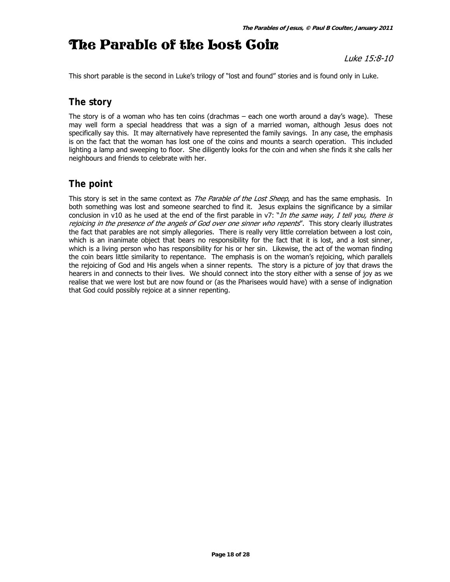# The Parable of the Lost Coin

Luke 15:8-10

This short parable is the second in Luke's trilogy of "lost and found" stories and is found only in Luke.

# **The story**

The story is of a woman who has ten coins (drachmas – each one worth around a day's wage). These may well form a special headdress that was a sign of a married woman, although Jesus does not specifically say this. It may alternatively have represented the family savings. In any case, the emphasis is on the fact that the woman has lost one of the coins and mounts a search operation. This included lighting a lamp and sweeping to floor. She diligently looks for the coin and when she finds it she calls her neighbours and friends to celebrate with her.

# **The point**

This story is set in the same context as *The Parable of the Lost Sheep*, and has the same emphasis. In both something was lost and someone searched to find it. Jesus explains the significance by a similar conclusion in v10 as he used at the end of the first parable in v7: "In the same way, I tell you, there is rejoicing in the presence of the angels of God over one sinner who repents". This story clearly illustrates the fact that parables are not simply allegories. There is really very little correlation between a lost coin, which is an inanimate object that bears no responsibility for the fact that it is lost, and a lost sinner, which is a living person who has responsibility for his or her sin. Likewise, the act of the woman finding the coin bears little similarity to repentance. The emphasis is on the woman's rejoicing, which parallels the rejoicing of God and His angels when a sinner repents. The story is a picture of joy that draws the hearers in and connects to their lives. We should connect into the story either with a sense of joy as we realise that we were lost but are now found or (as the Pharisees would have) with a sense of indignation that God could possibly rejoice at a sinner repenting.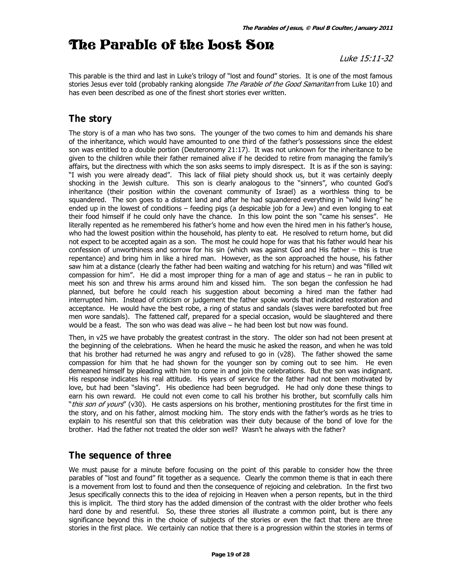# The Parable of the Lost Son

Luke 15:11-32

This parable is the third and last in Luke's trilogy of "lost and found" stories. It is one of the most famous stories Jesus ever told (probably ranking alongside The Parable of the Good Samaritan from Luke 10) and has even been described as one of the finest short stories ever written.

# **The story**

The story is of a man who has two sons. The younger of the two comes to him and demands his share of the inheritance, which would have amounted to one third of the father's possessions since the eldest son was entitled to a double portion (Deuteronomy 21:17). It was not unknown for the inheritance to be given to the children while their father remained alive if he decided to retire from managing the family's affairs, but the directness with which the son asks seems to imply disrespect. It is as if the son is saying: "I wish you were already dead". This lack of filial piety should shock us, but it was certainly deeply shocking in the Jewish culture. This son is clearly analogous to the "sinners", who counted God's inheritance (their position within the covenant community of Israel) as a worthless thing to be squandered. The son goes to a distant land and after he had squandered everything in "wild living" he ended up in the lowest of conditions – feeding pigs (a despicable job for a Jew) and even longing to eat their food himself if he could only have the chance. In this low point the son "came his senses". He literally repented as he remembered his father's home and how even the hired men in his father's house, who had the lowest position within the household, has plenty to eat. He resolved to return home, but did not expect to be accepted again as a son. The most he could hope for was that his father would hear his confession of unworthiness and sorrow for his sin (which was against God and His father – this is true repentance) and bring him in like a hired man. However, as the son approached the house, his father saw him at a distance (clearly the father had been waiting and watching for his return) and was "filled wit compassion for him". He did a most improper thing for a man of age and status – he ran in public to meet his son and threw his arms around him and kissed him. The son began the confession he had planned, but before he could reach his suggestion about becoming a hired man the father had interrupted him. Instead of criticism or judgement the father spoke words that indicated restoration and acceptance. He would have the best robe, a ring of status and sandals (slaves were barefooted but free men wore sandals). The fattened calf, prepared for a special occasion, would be slaughtered and there would be a feast. The son who was dead was alive – he had been lost but now was found.

Then, in v25 we have probably the greatest contrast in the story. The older son had not been present at the beginning of the celebrations. When he heard the music he asked the reason, and when he was told that his brother had returned he was angry and refused to go in (v28). The father showed the same compassion for him that he had shown for the younger son by coming out to see him. He even demeaned himself by pleading with him to come in and join the celebrations. But the son was indignant. His response indicates his real attitude. His years of service for the father had not been motivated by love, but had been "slaving". His obedience had been begrudged. He had only done these things to earn his own reward. He could not even come to call his brother his brother, but scornfully calls him "this son of yours" (v30). He casts aspersions on his brother, mentioning prostitutes for the first time in the story, and on his father, almost mocking him. The story ends with the father's words as he tries to explain to his resentful son that this celebration was their duty because of the bond of love for the brother. Had the father not treated the older son well? Wasn't he always with the father?

### **The sequence of three**

We must pause for a minute before focusing on the point of this parable to consider how the three parables of "lost and found" fit together as a sequence. Clearly the common theme is that in each there is a movement from lost to found and then the consequence of rejoicing and celebration. In the first two Jesus specifically connects this to the idea of rejoicing in Heaven when a person repents, but in the third this is implicit. The third story has the added dimension of the contrast with the older brother who feels hard done by and resentful. So, these three stories all illustrate a common point, but is there any significance beyond this in the choice of subjects of the stories or even the fact that there are three stories in the first place. We certainly can notice that there is a progression within the stories in terms of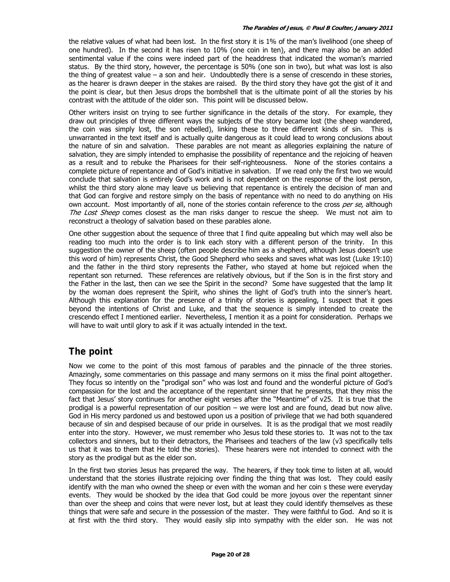the relative values of what had been lost. In the first story it is 1% of the man's livelihood (one sheep of one hundred). In the second it has risen to 10% (one coin in ten), and there may also be an added sentimental value if the coins were indeed part of the headdress that indicated the woman's married status. By the third story, however, the percentage is 50% (one son in two), but what was lost is also the thing of greatest value – a son and heir. Undoubtedly there is a sense of crescendo in these stories, as the hearer is drawn deeper in the stakes are raised. By the third story they have got the gist of it and the point is clear, but then Jesus drops the bombshell that is the ultimate point of all the stories by his contrast with the attitude of the older son. This point will be discussed below.

Other writers insist on trying to see further significance in the details of the story. For example, they draw out principles of three different ways the subjects of the story became lost (the sheep wandered, the coin was simply lost, the son rebelled), linking these to three different kinds of sin. This is unwarranted in the text itself and is actually quite dangerous as it could lead to wrong conclusions about the nature of sin and salvation. These parables are not meant as allegories explaining the nature of salvation, they are simply intended to emphasise the possibility of repentance and the rejoicing of heaven as a result and to rebuke the Pharisees for their self-righteousness. None of the stories contains a complete picture of repentance and of God's initiative in salvation. If we read only the first two we would conclude that salvation is entirely God's work and is not dependent on the response of the lost person, whilst the third story alone may leave us believing that repentance is entirely the decision of man and that God can forgive and restore simply on the basis of repentance with no need to do anything on His own account. Most importantly of all, none of the stories contain reference to the cross per se, although The Lost Sheep comes closest as the man risks danger to rescue the sheep. We must not aim to reconstruct a theology of salvation based on these parables alone.

One other suggestion about the sequence of three that I find quite appealing but which may well also be reading too much into the order is to link each story with a different person of the trinity. In this suggestion the owner of the sheep (often people describe him as a shepherd, although Jesus doesn't use this word of him) represents Christ, the Good Shepherd who seeks and saves what was lost (Luke 19:10) and the father in the third story represents the Father, who stayed at home but rejoiced when the repentant son returned. These references are relatively obvious, but if the Son is in the first story and the Father in the last, then can we see the Spirit in the second? Some have suggested that the lamp lit by the woman does represent the Spirit, who shines the light of God's truth into the sinner's heart. Although this explanation for the presence of a trinity of stories is appealing, I suspect that it goes beyond the intentions of Christ and Luke, and that the sequence is simply intended to create the crescendo effect I mentioned earlier. Nevertheless, I mention it as a point for consideration. Perhaps we will have to wait until glory to ask if it was actually intended in the text.

### **The point**

Now we come to the point of this most famous of parables and the pinnacle of the three stories. Amazingly, some commentaries on this passage and many sermons on it miss the final point altogether. They focus so intently on the "prodigal son" who was lost and found and the wonderful picture of God's compassion for the lost and the acceptance of the repentant sinner that he presents, that they miss the fact that Jesus' story continues for another eight verses after the "Meantime" of v25. It is true that the prodigal is a powerful representation of our position – we were lost and are found, dead but now alive. God in His mercy pardoned us and bestowed upon us a position of privilege that we had both squandered because of sin and despised because of our pride in ourselves. It is as the prodigal that we most readily enter into the story. However, we must remember who Jesus told these stories to. It was not to the tax collectors and sinners, but to their detractors, the Pharisees and teachers of the law (v3 specifically tells us that it was to them that He told the stories). These hearers were not intended to connect with the story as the prodigal but as the elder son.

In the first two stories Jesus has prepared the way. The hearers, if they took time to listen at all, would understand that the stories illustrate rejoicing over finding the thing that was lost. They could easily identify with the man who owned the sheep or even with the woman and her coin s these were everyday events. They would be shocked by the idea that God could be more joyous over the repentant sinner than over the sheep and coins that were never lost, but at least they could identify themselves as these things that were safe and secure in the possession of the master. They were faithful to God. And so it is at first with the third story. They would easily slip into sympathy with the elder son. He was not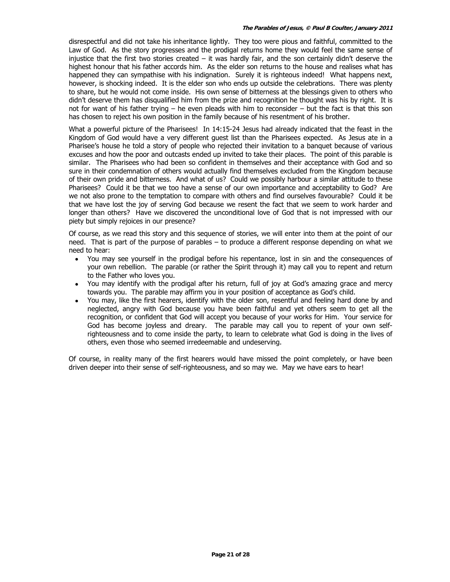disrespectful and did not take his inheritance lightly. They too were pious and faithful, committed to the Law of God. As the story progresses and the prodigal returns home they would feel the same sense of injustice that the first two stories created – it was hardly fair, and the son certainly didn't deserve the highest honour that his father accords him. As the elder son returns to the house and realises what has happened they can sympathise with his indignation. Surely it is righteous indeed! What happens next, however, is shocking indeed. It is the elder son who ends up outside the celebrations. There was plenty to share, but he would not come inside. His own sense of bitterness at the blessings given to others who didn't deserve them has disqualified him from the prize and recognition he thought was his by right. It is not for want of his father trying – he even pleads with him to reconsider – but the fact is that this son has chosen to reject his own position in the family because of his resentment of his brother.

What a powerful picture of the Pharisees! In 14:15-24 Jesus had already indicated that the feast in the Kingdom of God would have a very different guest list than the Pharisees expected. As Jesus ate in a Pharisee's house he told a story of people who rejected their invitation to a banquet because of various excuses and how the poor and outcasts ended up invited to take their places. The point of this parable is similar. The Pharisees who had been so confident in themselves and their acceptance with God and so sure in their condemnation of others would actually find themselves excluded from the Kingdom because of their own pride and bitterness. And what of us? Could we possibly harbour a similar attitude to these Pharisees? Could it be that we too have a sense of our own importance and acceptability to God? Are we not also prone to the temptation to compare with others and find ourselves favourable? Could it be that we have lost the joy of serving God because we resent the fact that we seem to work harder and longer than others? Have we discovered the unconditional love of God that is not impressed with our piety but simply rejoices in our presence?

Of course, as we read this story and this sequence of stories, we will enter into them at the point of our need. That is part of the purpose of parables – to produce a different response depending on what we need to hear:

- You may see yourself in the prodigal before his repentance, lost in sin and the consequences of your own rebellion. The parable (or rather the Spirit through it) may call you to repent and return to the Father who loves you.
- You may identify with the prodigal after his return, full of joy at God's amazing grace and mercy towards you. The parable may affirm you in your position of acceptance as God's child.
- You may, like the first hearers, identify with the older son, resentful and feeling hard done by and neglected, angry with God because you have been faithful and yet others seem to get all the recognition, or confident that God will accept you because of your works for Him. Your service for God has become joyless and dreary. The parable may call you to repent of your own selfrighteousness and to come inside the party, to learn to celebrate what God is doing in the lives of others, even those who seemed irredeemable and undeserving.

Of course, in reality many of the first hearers would have missed the point completely, or have been driven deeper into their sense of self-righteousness, and so may we. May we have ears to hear!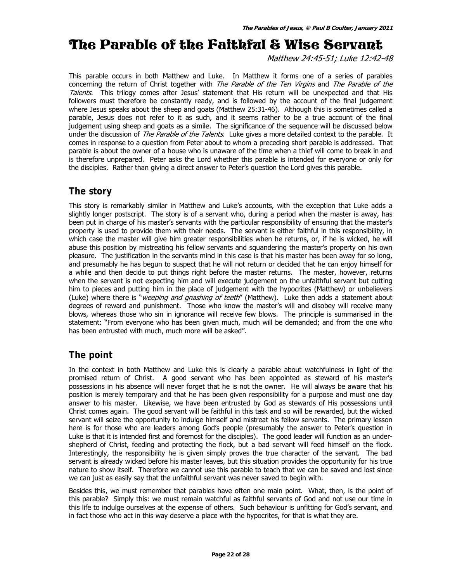# The Parable of the Faithful & Wise Servant

Matthew 24:45-51; Luke 12:42-48

This parable occurs in both Matthew and Luke. In Matthew it forms one of a series of parables concerning the return of Christ together with The Parable of the Ten Virgins and The Parable of the Talents. This trilogy comes after Jesus' statement that His return will be unexpected and that His followers must therefore be constantly ready, and is followed by the account of the final judgement where Jesus speaks about the sheep and goats (Matthew 25:31-46). Although this is sometimes called a parable, Jesus does not refer to it as such, and it seems rather to be a true account of the final judgement using sheep and goats as a simile. The significance of the sequence will be discussed below under the discussion of *The Parable of the Talents*. Luke gives a more detailed context to the parable. It comes in response to a question from Peter about to whom a preceding short parable is addressed. That parable is about the owner of a house who is unaware of the time when a thief will come to break in and is therefore unprepared. Peter asks the Lord whether this parable is intended for everyone or only for the disciples. Rather than giving a direct answer to Peter's question the Lord gives this parable.

### **The story**

This story is remarkably similar in Matthew and Luke's accounts, with the exception that Luke adds a slightly longer postscript. The story is of a servant who, during a period when the master is away, has been put in charge of his master's servants with the particular responsibility of ensuring that the master's property is used to provide them with their needs. The servant is either faithful in this responsibility, in which case the master will give him greater responsibilities when he returns, or, if he is wicked, he will abuse this position by mistreating his fellow servants and squandering the master's property on his own pleasure. The justification in the servants mind in this case is that his master has been away for so long, and presumably he has begun to suspect that he will not return or decided that he can enjoy himself for a while and then decide to put things right before the master returns. The master, however, returns when the servant is not expecting him and will execute judgement on the unfaithful servant but cutting him to pieces and putting him in the place of judgement with the hypocrites (Matthew) or unbelievers (Luke) where there is "*weeping and gnashing of teeth*" (Matthew). Luke then adds a statement about degrees of reward and punishment. Those who know the master's will and disobey will receive many blows, whereas those who sin in ignorance will receive few blows. The principle is summarised in the statement: "From everyone who has been given much, much will be demanded; and from the one who has been entrusted with much, much more will be asked".

# **The point**

In the context in both Matthew and Luke this is clearly a parable about watchfulness in light of the promised return of Christ. A good servant who has been appointed as steward of his master's possessions in his absence will never forget that he is not the owner. He will always be aware that his position is merely temporary and that he has been given responsibility for a purpose and must one day answer to his master. Likewise, we have been entrusted by God as stewards of His possessions until Christ comes again. The good servant will be faithful in this task and so will be rewarded, but the wicked servant will seize the opportunity to indulge himself and mistreat his fellow servants. The primary lesson here is for those who are leaders among God's people (presumably the answer to Peter's question in Luke is that it is intended first and foremost for the disciples). The good leader will function as an undershepherd of Christ, feeding and protecting the flock, but a bad servant will feed himself on the flock. Interestingly, the responsibility he is given simply proves the true character of the servant. The bad servant is already wicked before his master leaves, but this situation provides the opportunity for his true nature to show itself. Therefore we cannot use this parable to teach that we can be saved and lost since we can just as easily say that the unfaithful servant was never saved to begin with.

Besides this, we must remember that parables have often one main point. What, then, is the point of this parable? Simply this: we must remain watchful as faithful servants of God and not use our time in this life to indulge ourselves at the expense of others. Such behaviour is unfitting for God's servant, and in fact those who act in this way deserve a place with the hypocrites, for that is what they are.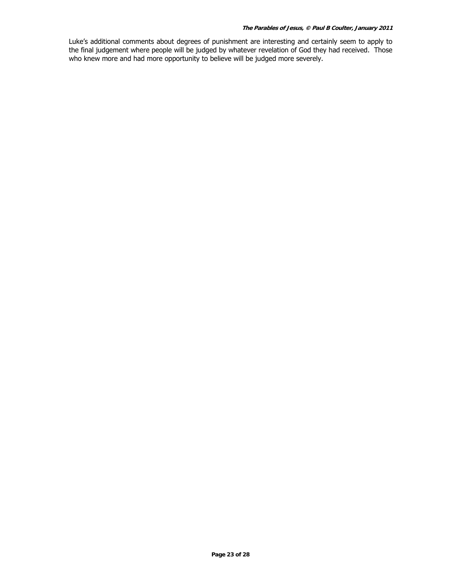Luke's additional comments about degrees of punishment are interesting and certainly seem to apply to the final judgement where people will be judged by whatever revelation of God they had received. Those who knew more and had more opportunity to believe will be judged more severely.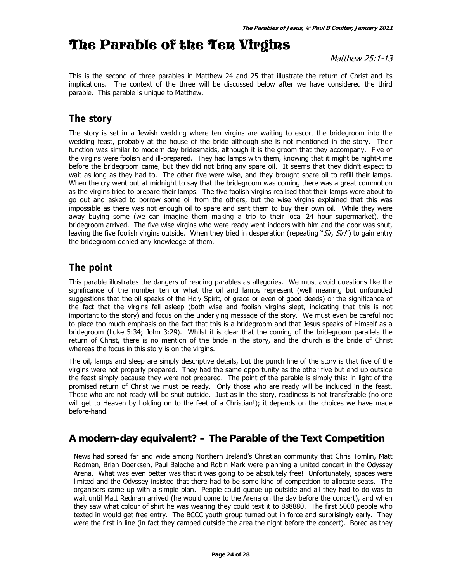# The Parable of the Ten Virgins

### Matthew 25:1-13

This is the second of three parables in Matthew 24 and 25 that illustrate the return of Christ and its implications. The context of the three will be discussed below after we have considered the third parable. This parable is unique to Matthew.

# **The story**

The story is set in a Jewish wedding where ten virgins are waiting to escort the bridegroom into the wedding feast, probably at the house of the bride although she is not mentioned in the story. Their function was similar to modern day bridesmaids, although it is the groom that they accompany. Five of the virgins were foolish and ill-prepared. They had lamps with them, knowing that it might be night-time before the bridegroom came, but they did not bring any spare oil. It seems that they didn't expect to wait as long as they had to. The other five were wise, and they brought spare oil to refill their lamps. When the cry went out at midnight to say that the bridegroom was coming there was a great commotion as the virgins tried to prepare their lamps. The five foolish virgins realised that their lamps were about to go out and asked to borrow some oil from the others, but the wise virgins explained that this was impossible as there was not enough oil to spare and sent them to buy their own oil. While they were away buying some (we can imagine them making a trip to their local 24 hour supermarket), the bridegroom arrived. The five wise virgins who were ready went indoors with him and the door was shut, leaving the five foolish virgins outside. When they tried in desperation (repeating "Sir, Sir!") to gain entry the bridegroom denied any knowledge of them.

### **The point**

This parable illustrates the dangers of reading parables as allegories. We must avoid questions like the significance of the number ten or what the oil and lamps represent (well meaning but unfounded suggestions that the oil speaks of the Holy Spirit, of grace or even of good deeds) or the significance of the fact that the virgins fell asleep (both wise and foolish virgins slept, indicating that this is not important to the story) and focus on the underlying message of the story. We must even be careful not to place too much emphasis on the fact that this is a bridegroom and that Jesus speaks of Himself as a bridegroom (Luke 5:34; John 3:29). Whilst it is clear that the coming of the bridegroom parallels the return of Christ, there is no mention of the bride in the story, and the church is the bride of Christ whereas the focus in this story is on the virgins.

The oil, lamps and sleep are simply descriptive details, but the punch line of the story is that five of the virgins were not properly prepared. They had the same opportunity as the other five but end up outside the feast simply because they were not prepared. The point of the parable is simply this: in light of the promised return of Christ we must be ready. Only those who are ready will be included in the feast. Those who are not ready will be shut outside. Just as in the story, readiness is not transferable (no one will get to Heaven by holding on to the feet of a Christian!); it depends on the choices we have made before-hand.

### **A modern-day equivalent? – The Parable of the Text Competition**

News had spread far and wide among Northern Ireland's Christian community that Chris Tomlin, Matt Redman, Brian Doerksen, Paul Baloche and Robin Mark were planning a united concert in the Odyssey Arena. What was even better was that it was going to be absolutely free! Unfortunately, spaces were limited and the Odyssey insisted that there had to be some kind of competition to allocate seats. The organisers came up with a simple plan. People could queue up outside and all they had to do was to wait until Matt Redman arrived (he would come to the Arena on the day before the concert), and when they saw what colour of shirt he was wearing they could text it to 888880. The first 5000 people who texted in would get free entry. The BCCC youth group turned out in force and surprisingly early. They were the first in line (in fact they camped outside the area the night before the concert). Bored as they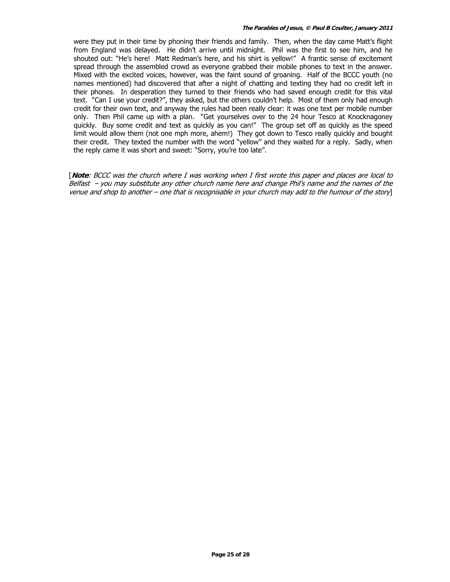were they put in their time by phoning their friends and family. Then, when the day came Matt's flight from England was delayed. He didn't arrive until midnight. Phil was the first to see him, and he shouted out: "He's here! Matt Redman's here, and his shirt is yellow!" A frantic sense of excitement spread through the assembled crowd as everyone grabbed their mobile phones to text in the answer. Mixed with the excited voices, however, was the faint sound of groaning. Half of the BCCC youth (no names mentioned) had discovered that after a night of chatting and texting they had no credit left in their phones. In desperation they turned to their friends who had saved enough credit for this vital text. "Can I use your credit?", they asked, but the others couldn't help. Most of them only had enough credit for their own text, and anyway the rules had been really clear: it was one text per mobile number only. Then Phil came up with a plan. "Get yourselves over to the 24 hour Tesco at Knocknagoney quickly. Buy some credit and text as quickly as you can!" The group set off as quickly as the speed limit would allow them (not one mph more, ahem!) They got down to Tesco really quickly and bought their credit. They texted the number with the word "yellow" and they waited for a reply. Sadly, when the reply came it was short and sweet: "Sorry, you're too late".

[**Note**: BCCC was the church where I was working when I first wrote this paper and places are local to Belfast – you may substitute any other church name here and change Phil's name and the names of the venue and shop to another – one that is recognisable in your church may add to the humour of the story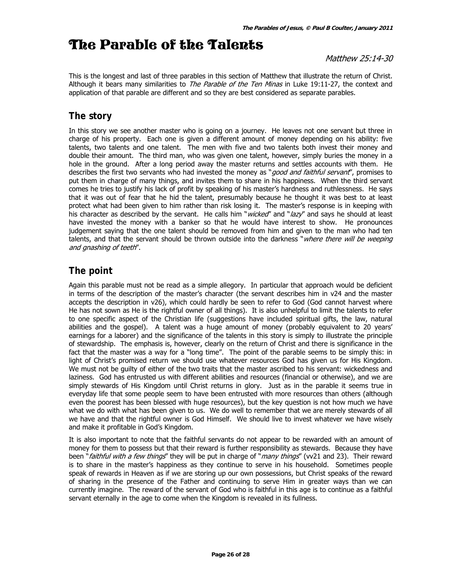# The Parable of the Talents

### Matthew 25:14-30

This is the longest and last of three parables in this section of Matthew that illustrate the return of Christ. Although it bears many similarities to *The Parable of the Ten Minas* in Luke 19:11-27, the context and application of that parable are different and so they are best considered as separate parables.

### **The story**

In this story we see another master who is going on a journey. He leaves not one servant but three in charge of his property. Each one is given a different amount of money depending on his ability: five talents, two talents and one talent. The men with five and two talents both invest their money and double their amount. The third man, who was given one talent, however, simply buries the money in a hole in the ground. After a long period away the master returns and settles accounts with them. He describes the first two servants who had invested the money as "*good and faithful servant*", promises to put them in charge of many things, and invites them to share in his happiness. When the third servant comes he tries to justify his lack of profit by speaking of his master's hardness and ruthlessness. He says that it was out of fear that he hid the talent, presumably because he thought it was best to at least protect what had been given to him rather than risk losing it. The master's response is in keeping with his character as described by the servant. He calls him "wicked" and "lazy" and says he should at least have invested the money with a banker so that he would have interest to show. He pronounces judgement saying that the one talent should be removed from him and given to the man who had ten talents, and that the servant should be thrown outside into the darkness "where there will be weeping and gnashing of teeth".

### **The point**

Again this parable must not be read as a simple allegory. In particular that approach would be deficient in terms of the description of the master's character (the servant describes him in v24 and the master accepts the description in v26), which could hardly be seen to refer to God (God cannot harvest where He has not sown as He is the rightful owner of all things). It is also unhelpful to limit the talents to refer to one specific aspect of the Christian life (suggestions have included spiritual gifts, the law, natural abilities and the gospel). A talent was a huge amount of money (probably equivalent to 20 years' earnings for a laborer) and the significance of the talents in this story is simply to illustrate the principle of stewardship. The emphasis is, however, clearly on the return of Christ and there is significance in the fact that the master was a way for a "long time". The point of the parable seems to be simply this: in light of Christ's promised return we should use whatever resources God has given us for His Kingdom. We must not be guilty of either of the two traits that the master ascribed to his servant: wickedness and laziness. God has entrusted us with different abilities and resources (financial or otherwise), and we are simply stewards of His Kingdom until Christ returns in glory. Just as in the parable it seems true in everyday life that some people seem to have been entrusted with more resources than others (although even the poorest has been blessed with huge resources), but the key question is not how much we have what we do with what has been given to us. We do well to remember that we are merely stewards of all we have and that the rightful owner is God Himself. We should live to invest whatever we have wisely and make it profitable in God's Kingdom.

It is also important to note that the faithful servants do not appear to be rewarded with an amount of money for them to possess but that their reward is further responsibility as stewards. Because they have been "faithful with a few things" they will be put in charge of "many things" (w21 and 23). Their reward is to share in the master's happiness as they continue to serve in his household. Sometimes people speak of rewards in Heaven as if we are storing up our own possessions, but Christ speaks of the reward of sharing in the presence of the Father and continuing to serve Him in greater ways than we can currently imagine. The reward of the servant of God who is faithful in this age is to continue as a faithful servant eternally in the age to come when the Kingdom is revealed in its fullness.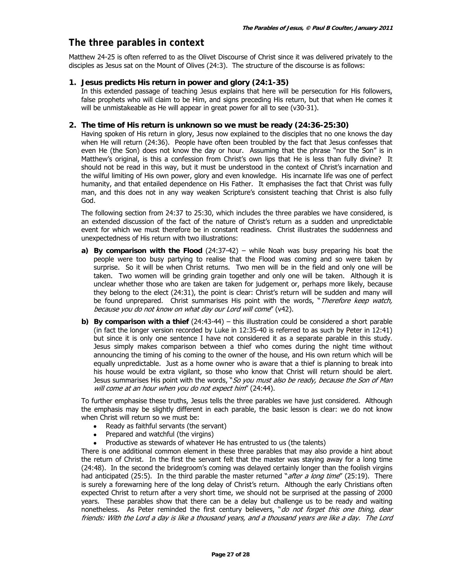### **The three parables in context**

Matthew 24-25 is often referred to as the Olivet Discourse of Christ since it was delivered privately to the disciples as Jesus sat on the Mount of Olives (24:3). The structure of the discourse is as follows:

### **1. Jesus predicts His return in power and glory (24:1-35)**

In this extended passage of teaching Jesus explains that here will be persecution for His followers, false prophets who will claim to be Him, and signs preceding His return, but that when He comes it will be unmistakeable as He will appear in great power for all to see (v30-31).

### **2. The time of His return is unknown so we must be ready (24:36-25:30)**

Having spoken of His return in glory, Jesus now explained to the disciples that no one knows the day when He will return (24:36). People have often been troubled by the fact that Jesus confesses that even He (the Son) does not know the day or hour. Assuming that the phrase "nor the Son" is in Matthew's original, is this a confession from Christ's own lips that He is less than fully divine? It should not be read in this way, but it must be understood in the context of Christ's incarnation and the wilful limiting of His own power, glory and even knowledge. His incarnate life was one of perfect humanity, and that entailed dependence on His Father. It emphasises the fact that Christ was fully man, and this does not in any way weaken Scripture's consistent teaching that Christ is also fully God.

The following section from 24:37 to 25:30, which includes the three parables we have considered, is an extended discussion of the fact of the nature of Christ's return as a sudden and unpredictable event for which we must therefore be in constant readiness. Christ illustrates the suddenness and unexpectedness of His return with two illustrations:

- **a) By comparison with the Flood** (24:37-42) while Noah was busy preparing his boat the people were too busy partying to realise that the Flood was coming and so were taken by surprise. So it will be when Christ returns. Two men will be in the field and only one will be taken. Two women will be grinding grain together and only one will be taken. Although it is unclear whether those who are taken are taken for judgement or, perhaps more likely, because they belong to the elect (24:31), the point is clear: Christ's return will be sudden and many will be found unprepared. Christ summarises His point with the words, "Therefore keep watch, because you do not know on what day our Lord will come" (v42).
- **b) By comparison with a thief** (24:43-44) this illustration could be considered a short parable (in fact the longer version recorded by Luke in 12:35-40 is referred to as such by Peter in 12:41) but since it is only one sentence I have not considered it as a separate parable in this study. Jesus simply makes comparison between a thief who comes during the night time without announcing the timing of his coming to the owner of the house, and His own return which will be equally unpredictable. Just as a home owner who is aware that a thief is planning to break into his house would be extra vigilant, so those who know that Christ will return should be alert. Jesus summarises His point with the words, "So you must also be ready, because the Son of Man will come at an hour when you do not expect him" (24:44).

To further emphasise these truths, Jesus tells the three parables we have just considered. Although the emphasis may be slightly different in each parable, the basic lesson is clear: we do not know when Christ will return so we must be:

- Ready as faithful servants (the servant)
- Prepared and watchful (the virgins)
- Productive as stewards of whatever He has entrusted to us (the talents)

There is one additional common element in these three parables that may also provide a hint about the return of Christ. In the first the servant felt that the master was staying away for a long time (24:48). In the second the bridegroom's coming was delayed certainly longer than the foolish virgins had anticipated (25:5). In the third parable the master returned "*after a long time*" (25:19). There is surely a forewarning here of the long delay of Christ's return. Although the early Christians often expected Christ to return after a very short time, we should not be surprised at the passing of 2000 years. These parables show that there can be a delay but challenge us to be ready and waiting nonetheless. As Peter reminded the first century believers, "do not forget this one thing, dear friends: With the Lord a day is like a thousand years, and a thousand years are like a day. The Lord